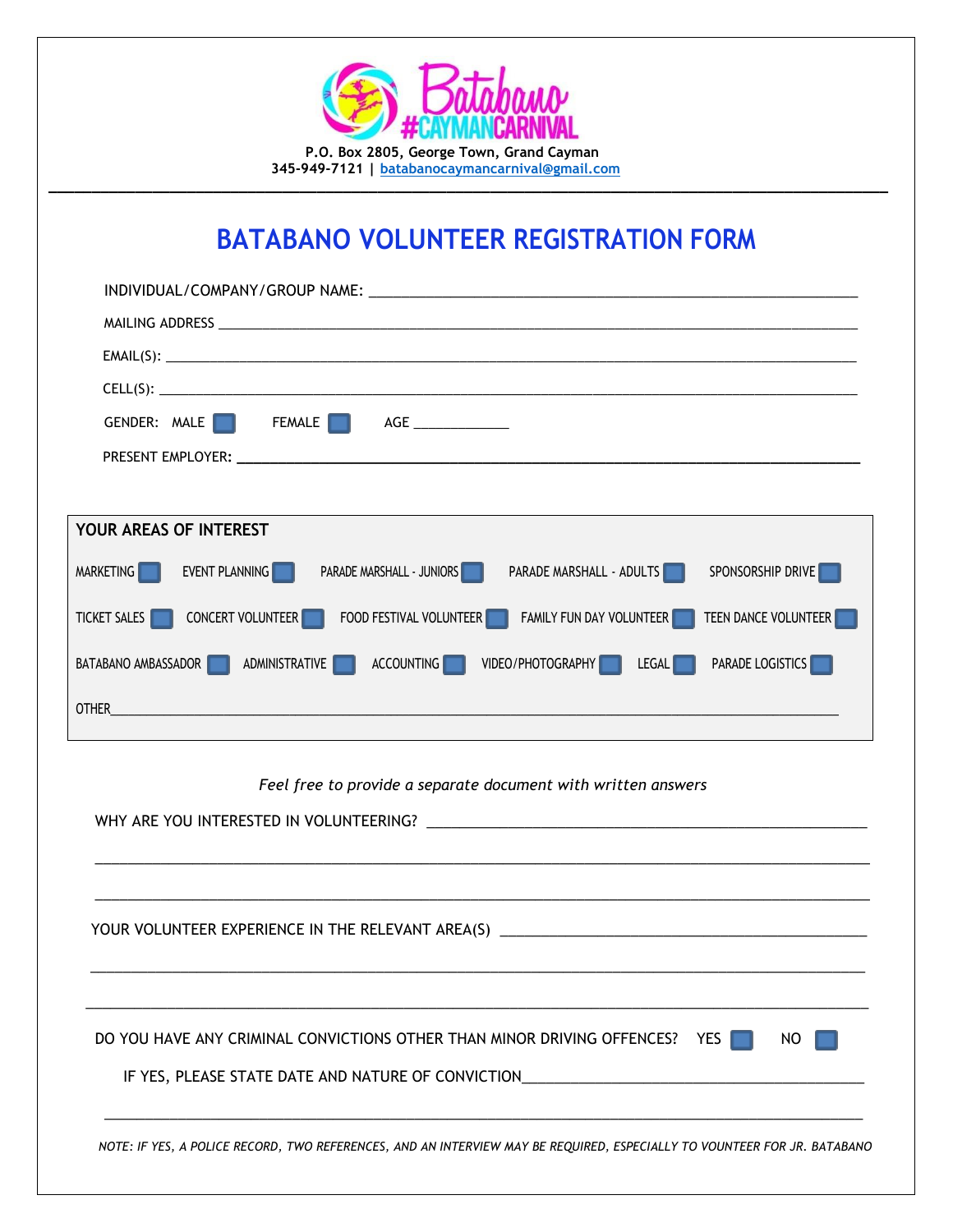hnun  **P.O. Box 2805, George Town, Grand Cayman 345-949-7121 | [batabanocaymancarnival@gmail.com](mailto:batabanocaymancarnival@gmail.com)**

## **BATABANO VOLUNTEER REGISTRATION FORM**

**\_\_\_\_\_\_\_\_\_\_\_\_\_\_\_\_\_\_\_\_\_\_\_\_\_\_\_\_\_\_\_\_\_\_\_\_\_\_\_\_\_\_\_\_\_\_\_\_\_\_\_\_\_\_\_\_\_\_\_\_\_\_\_\_\_\_\_\_\_\_\_\_\_\_\_\_\_\_\_\_\_\_\_\_\_\_\_\_\_\_\_\_\_\_\_\_\_**

| INDIVIDUAL/COMPANY/GROUP NAME:                                                                                |
|---------------------------------------------------------------------------------------------------------------|
|                                                                                                               |
|                                                                                                               |
|                                                                                                               |
| GENDER: MALE     FEMALE   AGE ____________                                                                    |
|                                                                                                               |
|                                                                                                               |
| YOUR AREAS OF INTEREST                                                                                        |
| MARKETING EVENT PLANNING<br><b>PARADE MARSHALL - JUNIORS</b><br>PARADE MARSHALL - ADULTS<br>SPONSORSHIP DRIVE |
| TICKET SALES CONCERT VOLUNTEER FOOD FESTIVAL VOLUNTEER FAMILY FUN DAY VOLUNTEER<br>TEEN DANCE VOLUNTEER       |
| BATABANO AMBASSADOR ADMINISTRATIVE ACCOUNTING VIDEO/PHOTOGRAPHY LEGAL PARADE LOGISTICS                        |
| OTHER                                                                                                         |

 *Feel free to provide a separate document with written answers*

| YOUR VOLUNTEER EXPERIENCE IN THE RELEVANT AREA(S) _______________________________ |     |
|-----------------------------------------------------------------------------------|-----|
| DO YOU HAVE ANY CRIMINAL CONVICTIONS OTHER THAN MINOR DRIVING OFFENCES? YES       | NO. |
| IF YES, PLEASE STATE DATE AND NATURE OF CONVICTION______________________________  |     |